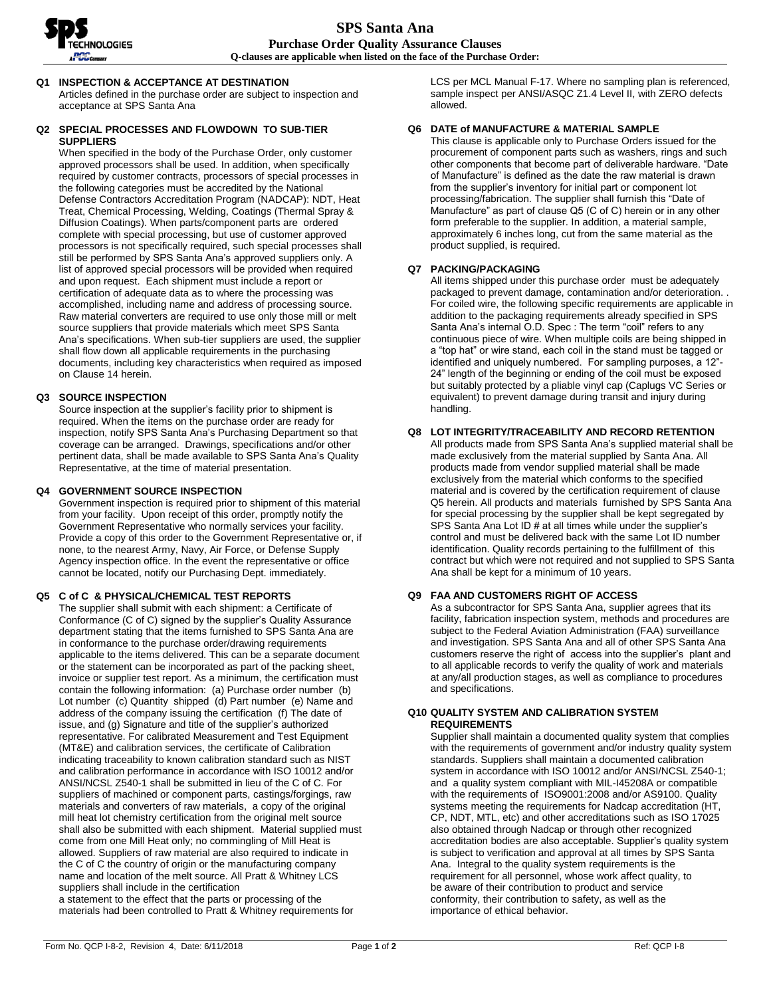

# **Q1 INSPECTION & ACCEPTANCE AT DESTINATION**

Articles defined in the purchase order are subject to inspection and acceptance at SPS Santa Ana

# **Q2 SPECIAL PROCESSES AND FLOWDOWN TO SUB-TIER SUPPLIERS**

When specified in the body of the Purchase Order, only customer approved processors shall be used. In addition, when specifically required by customer contracts, processors of special processes in the following categories must be accredited by the National Defense Contractors Accreditation Program (NADCAP): NDT, Heat Treat, Chemical Processing, Welding, Coatings (Thermal Spray & Diffusion Coatings). When parts/component parts are ordered complete with special processing, but use of customer approved processors is not specifically required, such special processes shall still be performed by SPS Santa Ana's approved suppliers only. A list of approved special processors will be provided when required and upon request. Each shipment must include a report or certification of adequate data as to where the processing was accomplished, including name and address of processing source. Raw material converters are required to use only those mill or melt source suppliers that provide materials which meet SPS Santa Ana's specifications. When sub-tier suppliers are used, the supplier shall flow down all applicable requirements in the purchasing documents, including key characteristics when required as imposed on Clause 14 herein.

# **Q3 SOURCE INSPECTION**

Source inspection at the supplier's facility prior to shipment is required. When the items on the purchase order are ready for inspection, notify SPS Santa Ana's Purchasing Department so that coverage can be arranged. Drawings, specifications and/or other pertinent data, shall be made available to SPS Santa Ana's Quality Representative, at the time of material presentation.

### **Q4 GOVERNMENT SOURCE INSPECTION**

Government inspection is required prior to shipment of this material from your facility. Upon receipt of this order, promptly notify the Government Representative who normally services your facility. Provide a copy of this order to the Government Representative or, if none, to the nearest Army, Navy, Air Force, or Defense Supply Agency inspection office. In the event the representative or office cannot be located, notify our Purchasing Dept. immediately.

# **Q5 C of C & PHYSICAL/CHEMICAL TEST REPORTS**

The supplier shall submit with each shipment: a Certificate of Conformance (C of C) signed by the supplier's Quality Assurance department stating that the items furnished to SPS Santa Ana are in conformance to the purchase order/drawing requirements applicable to the items delivered. This can be a separate document or the statement can be incorporated as part of the packing sheet, invoice or supplier test report. As a minimum, the certification must contain the following information: (a) Purchase order number (b) Lot number (c) Quantity shipped (d) Part number (e) Name and address of the company issuing the certification (f) The date of issue, and (g) Signature and title of the supplier's authorized representative. For calibrated Measurement and Test Equipment (MT&E) and calibration services, the certificate of Calibration indicating traceability to known calibration standard such as NIST and calibration performance in accordance with ISO 10012 and/or ANSI/NCSL Z540-1 shall be submitted in lieu of the C of C. For suppliers of machined or component parts, castings/forgings, raw materials and converters of raw materials, a copy of the original mill heat lot chemistry certification from the original melt source shall also be submitted with each shipment. Material supplied must come from one Mill Heat only; no commingling of Mill Heat is allowed. Suppliers of raw material are also required to indicate in the C of C the country of origin or the manufacturing company name and location of the melt source. All Pratt & Whitney LCS suppliers shall include in the certification a statement to the effect that the parts or processing of the

materials had been controlled to Pratt & Whitney requirements for

LCS per MCL Manual F-17. Where no sampling plan is referenced, sample inspect per ANSI/ASQC Z1.4 Level II, with ZERO defects allowed.

# **Q6 DATE of MANUFACTURE & MATERIAL SAMPLE**

This clause is applicable only to Purchase Orders issued for the procurement of component parts such as washers, rings and such other components that become part of deliverable hardware. "Date of Manufacture" is defined as the date the raw material is drawn from the supplier's inventory for initial part or component lot processing/fabrication. The supplier shall furnish this "Date of Manufacture" as part of clause Q5 (C of C) herein or in any other form preferable to the supplier. In addition, a material sample, approximately 6 inches long, cut from the same material as the product supplied, is required.

### **Q7 PACKING/PACKAGING**

All items shipped under this purchase order must be adequately packaged to prevent damage, contamination and/or deterioration. . For coiled wire, the following specific requirements are applicable in addition to the packaging requirements already specified in SPS Santa Ana's internal O.D. Spec : The term "coil" refers to any continuous piece of wire. When multiple coils are being shipped in a "top hat" or wire stand, each coil in the stand must be tagged or identified and uniquely numbered. For sampling purposes, a 12"- 24" length of the beginning or ending of the coil must be exposed but suitably protected by a pliable vinyl cap (Caplugs VC Series or equivalent) to prevent damage during transit and injury during handling.

# **Q8 LOT INTEGRITY/TRACEABILITY AND RECORD RETENTION**

All products made from SPS Santa Ana's supplied material shall be made exclusively from the material supplied by Santa Ana. All products made from vendor supplied material shall be made exclusively from the material which conforms to the specified material and is covered by the certification requirement of clause Q5 herein. All products and materials furnished by SPS Santa Ana for special processing by the supplier shall be kept segregated by SPS Santa Ana Lot ID  $#$  at all times while under the supplier's control and must be delivered back with the same Lot ID number identification. Quality records pertaining to the fulfillment of this contract but which were not required and not supplied to SPS Santa Ana shall be kept for a minimum of 10 years.

# **Q9 FAA AND CUSTOMERS RIGHT OF ACCESS**

As a subcontractor for SPS Santa Ana, supplier agrees that its facility, fabrication inspection system, methods and procedures are subject to the Federal Aviation Administration (FAA) surveillance and investigation. SPS Santa Ana and all of other SPS Santa Ana customers reserve the right of access into the supplier's plant and to all applicable records to verify the quality of work and materials at any/all production stages, as well as compliance to procedures and specifications.

### **Q10 QUALITY SYSTEM AND CALIBRATION SYSTEM REQUIREMENTS**

Supplier shall maintain a documented quality system that complies with the requirements of government and/or industry quality system standards. Suppliers shall maintain a documented calibration system in accordance with ISO 10012 and/or ANSI/NCSL Z540-1; and a quality system compliant with MIL-I45208A or compatible with the requirements of ISO9001:2008 and/or AS9100. Quality systems meeting the requirements for Nadcap accreditation (HT, CP, NDT, MTL, etc) and other accreditations such as ISO 17025 also obtained through Nadcap or through other recognized accreditation bodies are also acceptable. Supplier's quality system is subject to verification and approval at all times by SPS Santa Ana. Integral to the quality system requirements is the requirement for all personnel, whose work affect quality, to be aware of their contribution to product and service conformity, their contribution to safety, as well as the importance of ethical behavior.